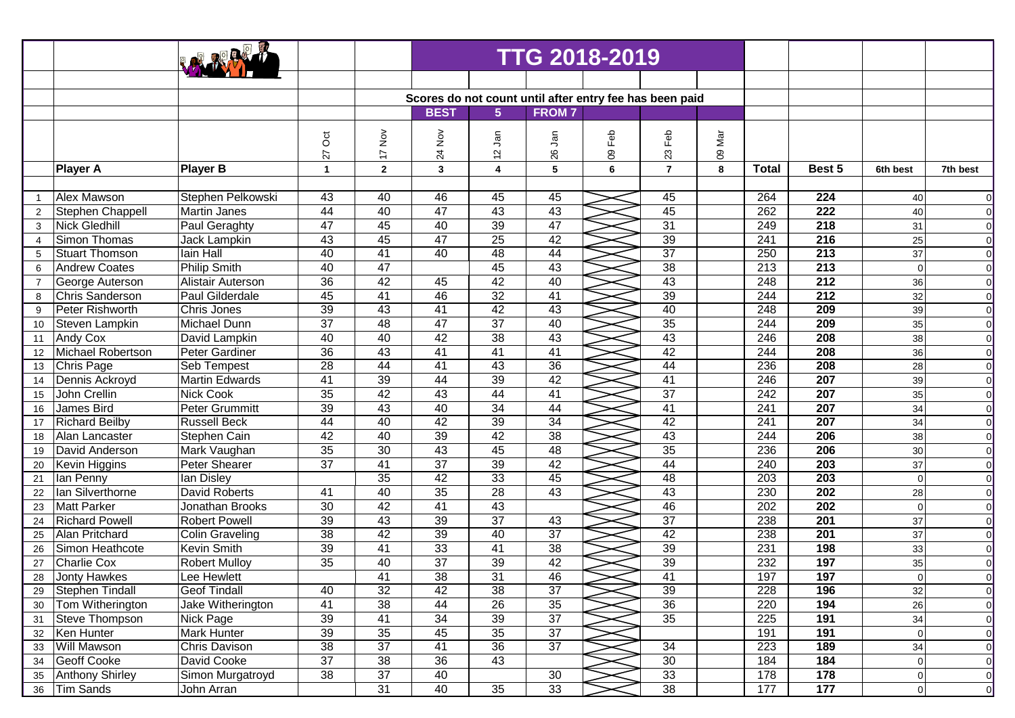|                |                        |                       |                      | <b>TTG 2018-2019</b>                                                                                       |                 |                 |                 |     |                 |     |                  |                  |           |                |
|----------------|------------------------|-----------------------|----------------------|------------------------------------------------------------------------------------------------------------|-----------------|-----------------|-----------------|-----|-----------------|-----|------------------|------------------|-----------|----------------|
|                |                        |                       |                      |                                                                                                            |                 |                 |                 |     |                 |     |                  |                  |           |                |
|                |                        |                       |                      |                                                                                                            |                 |                 |                 |     |                 |     |                  |                  |           |                |
|                |                        |                       |                      | Scores do not count until after entry fee has been paid<br>$5\phantom{.0}$<br><b>BEST</b><br><b>FROM 7</b> |                 |                 |                 |     |                 |     |                  |                  |           |                |
|                |                        |                       |                      |                                                                                                            |                 |                 |                 |     |                 |     |                  |                  |           |                |
|                |                        |                       | $\overline{c}$       | $\frac{5}{2}$                                                                                              |                 | Jan             | ຸລິ             | Feb | Feb             | Nar |                  |                  |           |                |
|                |                        |                       | 27                   | $\overline{1}$                                                                                             | 24 Nov          | $\tilde{c}$     | 26              | 80  | 23              | 80  |                  |                  |           |                |
|                | <b>Player A</b>        | <b>Player B</b>       | $\blacktriangleleft$ | $\overline{2}$                                                                                             | $\mathbf{3}$    | 4               | 5               | 6   | $\overline{7}$  | 8   | <b>Total</b>     | Best 5           | 6th best  | 7th best       |
|                |                        |                       |                      |                                                                                                            |                 |                 |                 |     |                 |     |                  |                  |           |                |
| $\overline{1}$ | Alex Mawson            | Stephen Pelkowski     | 43                   | 40                                                                                                         | 46              | 45              | 45              |     | 45              |     | 264              | 224              | 40        | $\overline{0}$ |
| $\overline{2}$ | Stephen Chappell       | <b>Martin Janes</b>   | 44                   | 40                                                                                                         | $\overline{47}$ | 43              | 43              |     | 45              |     | $\overline{262}$ | $\overline{222}$ | 40        | $\overline{0}$ |
| 3              | <b>Nick Gledhill</b>   | Paul Geraghty         | 47                   | $\overline{45}$                                                                                            | 40              | 39              | $\overline{47}$ |     | 31              |     | 249              | $\overline{218}$ | 31        | $\overline{0}$ |
| $\overline{4}$ | <b>Simon Thomas</b>    | Jack Lampkin          | 43                   | 45                                                                                                         | 47              | 25              | 42              |     | 39              |     | $\overline{241}$ | $\overline{216}$ | 25        | $\overline{0}$ |
| 5              | <b>Stuart Thomson</b>  | lain Hall             | 40                   | 41                                                                                                         | 40              | 48              | 44              |     | 37              |     | $\overline{250}$ | 213              | 37        | $\overline{0}$ |
| 6              | <b>Andrew Coates</b>   | <b>Philip Smith</b>   | 40                   | 47                                                                                                         |                 | 45              | 43              |     | 38              |     | $\overline{213}$ | 213              | $\Omega$  | $\overline{0}$ |
| 7              | George Auterson        | Alistair Auterson     | 36                   | 42                                                                                                         | 45              | 42              | 40              |     | 43              |     | 248              | $\overline{212}$ | 36        | $\overline{0}$ |
| 8              | Chris Sanderson        | Paul Gilderdale       | 45                   | $\overline{41}$                                                                                            | 46              | 32              | 41              |     | 39              |     | 244              | $\overline{212}$ | 32        | $\overline{0}$ |
| 9              | <b>Peter Rishworth</b> | Chris Jones           | $\overline{39}$      | 43                                                                                                         | 41              | 42              | 43              |     | 40              |     | 248              | $\overline{209}$ | 39        | $\overline{0}$ |
| 10             | Steven Lampkin         | Michael Dunn          | $\overline{37}$      | 48                                                                                                         | 47              | $\overline{37}$ | $\overline{40}$ |     | 35              |     | 244              | $\overline{209}$ | 35        | $\overline{0}$ |
| 11             | Andy Cox               | David Lampkin         | 40                   | 40                                                                                                         | 42              | 38              | 43              |     | 43              |     | 246              | $\overline{208}$ | 38        | $\overline{0}$ |
| 12             | Michael Robertson      | Peter Gardiner        | 36                   | 43                                                                                                         | $\overline{41}$ | 41              | $\overline{41}$ |     | 42              |     | 244              | $\overline{208}$ | 36        | $\overline{0}$ |
| 13             | Chris Page             | Seb Tempest           | 28                   | 44                                                                                                         | 41              | 43              | 36              |     | 44              |     | 236              | 208              | 28        | $\overline{0}$ |
| 14             | Dennis Ackroyd         | <b>Martin Edwards</b> | 41                   | 39                                                                                                         | 44              | 39              | 42              |     | $\overline{41}$ |     | 246              | 207              | 39        | $\overline{0}$ |
| 15             | John Crellin           | <b>Nick Cook</b>      | $\overline{35}$      | 42                                                                                                         | 43              | 44              | $\overline{41}$ |     | 37              |     | $\overline{242}$ | $\overline{207}$ | 35        | $\overline{0}$ |
| 16             | James Bird             | Peter Grummitt        | 39                   | 43                                                                                                         | 40              | 34              | $\overline{44}$ |     | $\overline{41}$ |     | $\overline{241}$ | $\overline{207}$ | 34        | $\overline{0}$ |
| 17             | <b>Richard Beilby</b>  | <b>Russell Beck</b>   | 44                   | 40                                                                                                         | 42              | 39              | $\overline{34}$ |     | 42              |     | $\overline{241}$ | $\overline{207}$ | 34        | $\overline{0}$ |
| 18             | Alan Lancaster         | Stephen Cain          | 42                   | 40                                                                                                         | 39              | 42              | $\overline{38}$ |     | 43              |     | 244              | 206              | 38        | $\overline{0}$ |
| 19             | David Anderson         | Mark Vaughan          | 35                   | 30                                                                                                         | 43              | 45              | $\overline{48}$ |     | 35              |     | 236              | 206              | 30        | $\overline{0}$ |
| 20             | <b>Kevin Higgins</b>   | <b>Peter Shearer</b>  | $\overline{37}$      | $\overline{41}$                                                                                            | $\overline{37}$ | 39              | 42              |     | 44              |     | 240              | 203              | 37        | $\overline{0}$ |
| 21             | lan Penny              | lan Disley            |                      | 35                                                                                                         | 42              | 33              | 45              |     | 48              |     | $\overline{203}$ | 203              | $\Omega$  | $\overline{0}$ |
| 22             | Ian Silverthorne       | <b>David Roberts</b>  | 41                   | 40                                                                                                         | 35              | 28              | 43              |     | 43              |     | 230              | 202              | 28        | $\overline{0}$ |
| 23             | <b>Matt Parker</b>     | Jonathan Brooks       | 30                   | 42                                                                                                         | $\overline{41}$ | 43              |                 |     | 46              |     | 202              | 202              | $\Omega$  | $\overline{0}$ |
| 24             | <b>Richard Powell</b>  | <b>Robert Powell</b>  | $\overline{39}$      | $\overline{43}$                                                                                            | 39              | $\overline{37}$ | 43              |     | 37              |     | 238              | 201              | 37        | $\overline{0}$ |
| 25             | Alan Pritchard         | Colin Graveling       | $\overline{38}$      | 42                                                                                                         | 39              | 40              | $\overline{37}$ |     | 42              |     | 238              | $\overline{201}$ | 37        | $\overline{0}$ |
| 26             | Simon Heathcote        | <b>Kevin Smith</b>    | 39                   | 41                                                                                                         | 33              | 41              | $\overline{38}$ |     | 39              |     | 231              | 198              | 33        | $\overline{0}$ |
| 27             | <b>Charlie Cox</b>     | <b>Robert Mulloy</b>  | 35                   | 40                                                                                                         | $\overline{37}$ | 39              | 42              |     | 39              |     | 232              | 197              | 35        | $\overline{0}$ |
| 28             | Jonty Hawkes           | Lee Hewlett           |                      | 41                                                                                                         | $\overline{38}$ | 31              | 46              |     | 41              |     | 197              | 197              | $\Omega$  | $\Omega$       |
| 29             | <b>Stephen Tindall</b> | <b>Geof Tindall</b>   | 40                   | $\overline{32}$                                                                                            | 42              | 38              | 37              |     | 39              |     | 228              | 196              | $32\,$    | $\overline{0}$ |
| 30             | Tom Witherington       | Jake Witherington     | 41                   | 38                                                                                                         | 44              | $\overline{26}$ | 35              |     | 36              |     | 220              | 194              | 26        | $\overline{0}$ |
| 31             | <b>Steve Thompson</b>  | Nick Page             | 39                   | 41                                                                                                         | 34              | 39              | $\overline{37}$ |     | 35              |     | 225              | 191              | 34        | $\overline{0}$ |
| 32             | Ken Hunter             | Mark Hunter           | 39                   | 35                                                                                                         | 45              | $\overline{35}$ | $\overline{37}$ |     |                 |     | 191              | 191              | 0         | $\overline{0}$ |
| 33             | Will Mawson            | Chris Davison         | 38                   | $\overline{37}$                                                                                            | 41              | 36              | $\overline{37}$ |     | $\overline{34}$ |     | 223              | 189              | 34        | $\overline{0}$ |
| 34             | <b>Geoff Cooke</b>     | David Cooke           | $\overline{37}$      | 38                                                                                                         | 36              | 43              |                 |     | 30              |     | 184              | 184              | 0         | $\overline{0}$ |
| 35             | <b>Anthony Shirley</b> | Simon Murgatroyd      | 38                   | 37                                                                                                         | 40              |                 | 30              |     | 33              |     | 178              | 178              | 0         | $\overline{0}$ |
| 36             | <b>Tim Sands</b>       | John Arran            |                      | 31                                                                                                         | 40              | 35              | 33              |     | 38              |     | 177              | 177              | $\pmb{0}$ | $\overline{0}$ |